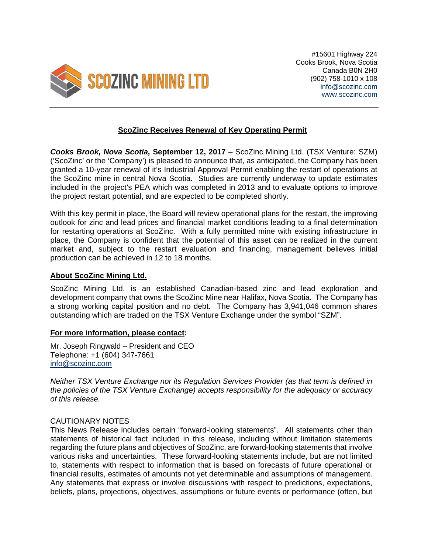

## **ScoZinc Receives Renewal of Key Operating Permit**

*Cooks Brook, Nova Scotia,* **September 12, 2017** – ScoZinc Mining Ltd. (TSX Venture: SZM) ('ScoZinc' or the 'Company') is pleased to announce that, as anticipated, the Company has been granted a 10-year renewal of it's Industrial Approval Permit enabling the restart of operations at the ScoZinc mine in central Nova Scotia. Studies are currently underway to update estimates included in the project's PEA which was completed in 2013 and to evaluate options to improve the project restart potential, and are expected to be completed shortly.

With this key permit in place, the Board will review operational plans for the restart, the improving outlook for zinc and lead prices and financial market conditions leading to a final determination for restarting operations at ScoZinc. With a fully permitted mine with existing infrastructure in place, the Company is confident that the potential of this asset can be realized in the current market and, subject to the restart evaluation and financing, management believes initial production can be achieved in 12 to 18 months.

## **About ScoZinc Mining Ltd.**

ScoZinc Mining Ltd. is an established Canadian-based zinc and lead exploration and development company that owns the ScoZinc Mine near Halifax, Nova Scotia. The Company has a strong working capital position and no debt. The Company has 3,941,046 common shares outstanding which are traded on the TSX Venture Exchange under the symbol "SZM".

## **For more information, please contact:**

Mr. Joseph Ringwald – President and CEO Telephone: +1 (604) 347-7661 info@scozinc.com

*Neither TSX Venture Exchange nor its Regulation Services Provider (as that term is defined in the policies of the TSX Venture Exchange) accepts responsibility for the adequacy or accuracy of this release.* 

## CAUTIONARY NOTES

This News Release includes certain "forward-looking statements". All statements other than statements of historical fact included in this release, including without limitation statements regarding the future plans and objectives of ScoZinc, are forward-looking statements that involve various risks and uncertainties. These forward-looking statements include, but are not limited to, statements with respect to information that is based on forecasts of future operational or financial results, estimates of amounts not yet determinable and assumptions of management. Any statements that express or involve discussions with respect to predictions, expectations, beliefs, plans, projections, objectives, assumptions or future events or performance (often, but